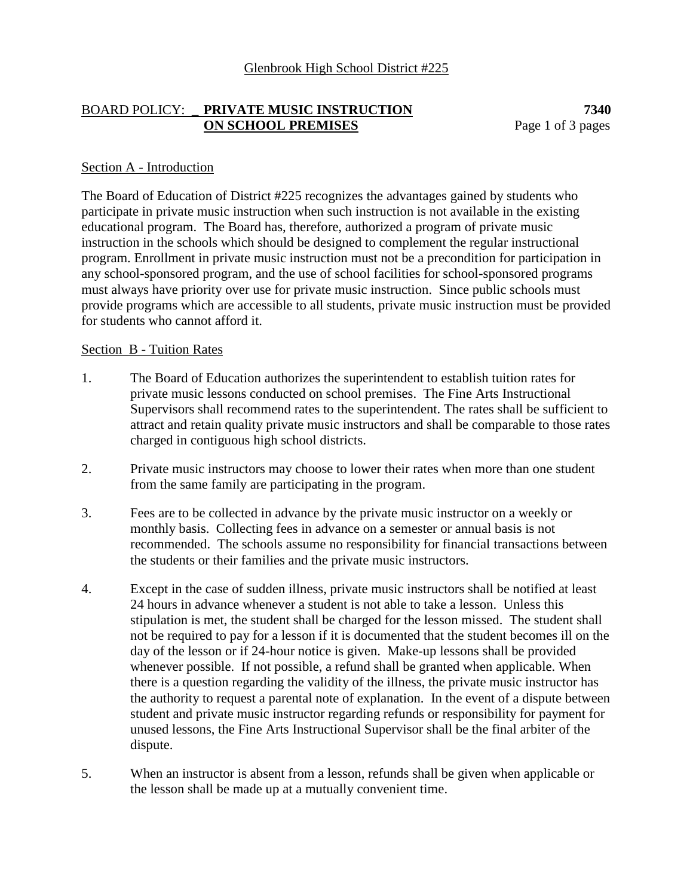### BOARD POLICY: \_ **PRIVATE MUSIC INSTRUCTION 7340 ON SCHOOL PREMISES** Page 1 of 3 pages

### Section A - Introduction

The Board of Education of District #225 recognizes the advantages gained by students who participate in private music instruction when such instruction is not available in the existing educational program. The Board has, therefore, authorized a program of private music instruction in the schools which should be designed to complement the regular instructional program. Enrollment in private music instruction must not be a precondition for participation in any school-sponsored program, and the use of school facilities for school-sponsored programs must always have priority over use for private music instruction. Since public schools must provide programs which are accessible to all students, private music instruction must be provided for students who cannot afford it.

#### Section B - Tuition Rates

- 1. The Board of Education authorizes the superintendent to establish tuition rates for private music lessons conducted on school premises. The Fine Arts Instructional Supervisors shall recommend rates to the superintendent. The rates shall be sufficient to attract and retain quality private music instructors and shall be comparable to those rates charged in contiguous high school districts.
- 2. Private music instructors may choose to lower their rates when more than one student from the same family are participating in the program.
- 3. Fees are to be collected in advance by the private music instructor on a weekly or monthly basis. Collecting fees in advance on a semester or annual basis is not recommended. The schools assume no responsibility for financial transactions between the students or their families and the private music instructors.
- 4. Except in the case of sudden illness, private music instructors shall be notified at least 24 hours in advance whenever a student is not able to take a lesson. Unless this stipulation is met, the student shall be charged for the lesson missed. The student shall not be required to pay for a lesson if it is documented that the student becomes ill on the day of the lesson or if 24-hour notice is given. Make-up lessons shall be provided whenever possible. If not possible, a refund shall be granted when applicable. When there is a question regarding the validity of the illness, the private music instructor has the authority to request a parental note of explanation. In the event of a dispute between student and private music instructor regarding refunds or responsibility for payment for unused lessons, the Fine Arts Instructional Supervisor shall be the final arbiter of the dispute.
- 5. When an instructor is absent from a lesson, refunds shall be given when applicable or the lesson shall be made up at a mutually convenient time.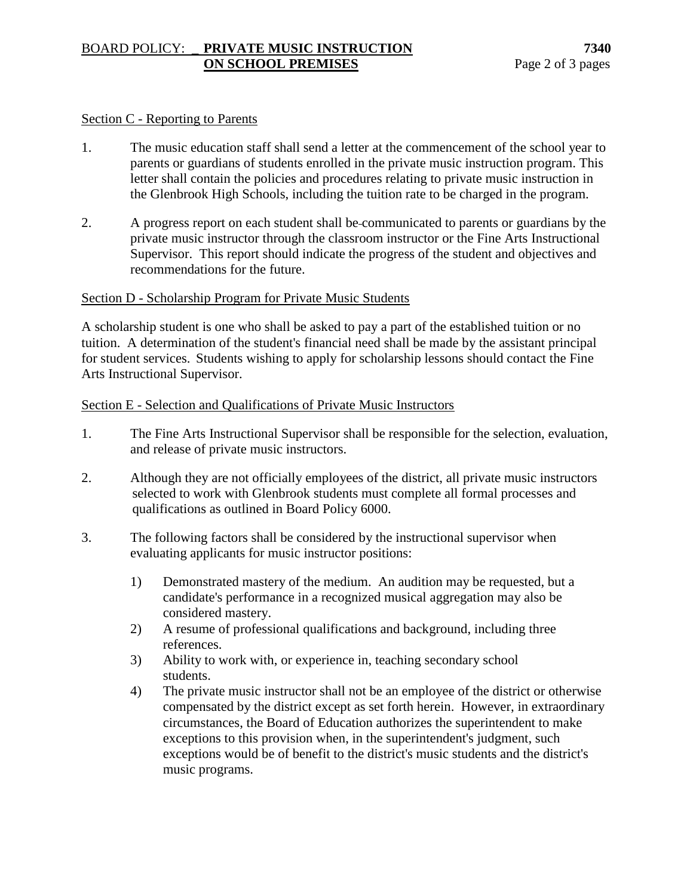# BOARD POLICY: \_ **PRIVATE MUSIC INSTRUCTION 7340 ON SCHOOL PREMISES** Page 2 of 3 pages

### Section C - Reporting to Parents

- 1. The music education staff shall send a letter at the commencement of the school year to parents or guardians of students enrolled in the private music instruction program. This letter shall contain the policies and procedures relating to private music instruction in the Glenbrook High Schools, including the tuition rate to be charged in the program.
- 2. A progress report on each student shall be communicated to parents or guardians by the private music instructor through the classroom instructor or the Fine Arts Instructional Supervisor. This report should indicate the progress of the student and objectives and recommendations for the future.

## Section D - Scholarship Program for Private Music Students

A scholarship student is one who shall be asked to pay a part of the established tuition or no tuition. A determination of the student's financial need shall be made by the assistant principal for student services. Students wishing to apply for scholarship lessons should contact the Fine Arts Instructional Supervisor.

## Section E - Selection and Qualifications of Private Music Instructors

- 1. The Fine Arts Instructional Supervisor shall be responsible for the selection, evaluation, and release of private music instructors.
- 2. Although they are not officially employees of the district, all private music instructors selected to work with Glenbrook students must complete all formal processes and qualifications as outlined in Board Policy 6000.
- 3. The following factors shall be considered by the instructional supervisor when evaluating applicants for music instructor positions:
	- 1) Demonstrated mastery of the medium. An audition may be requested, but a candidate's performance in a recognized musical aggregation may also be considered mastery.
	- 2) A resume of professional qualifications and background, including three references.
	- 3) Ability to work with, or experience in, teaching secondary school students.
	- 4) The private music instructor shall not be an employee of the district or otherwise compensated by the district except as set forth herein. However, in extraordinary circumstances, the Board of Education authorizes the superintendent to make exceptions to this provision when, in the superintendent's judgment, such exceptions would be of benefit to the district's music students and the district's music programs.